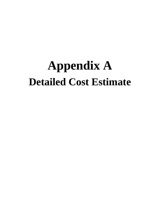## **Appendix A Detailed Cost Estimate**